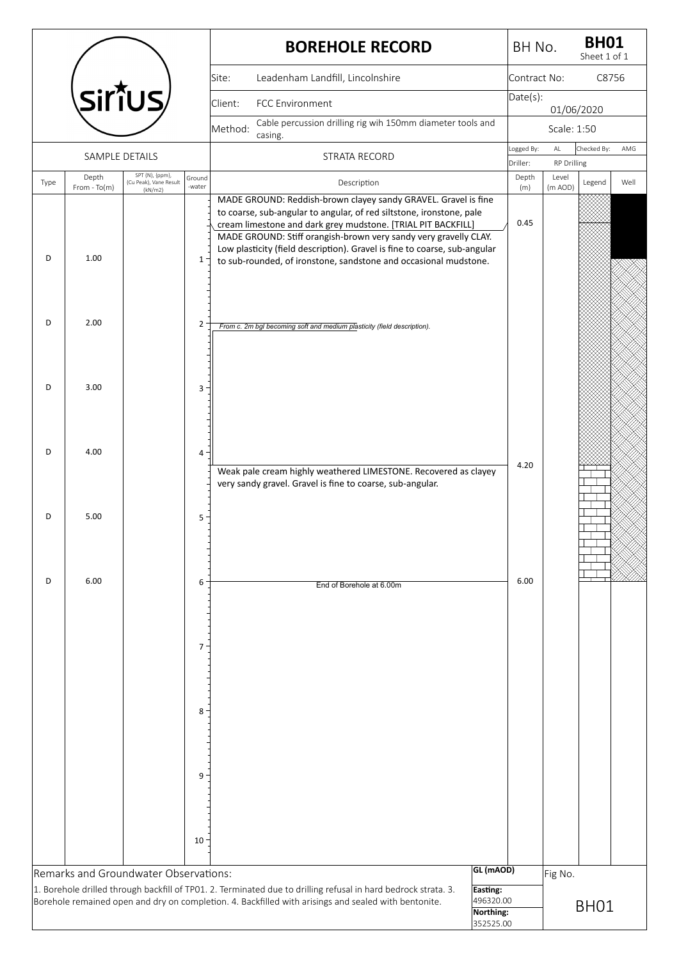|      |                        |                                           |                 | <b>BOREHOLE RECORD</b>                                                                                                                                                                                                                                                                                                                                                                                                      |                                                              | BH No.            |                             | <b>BH01</b><br>Sheet 1 of 1 |      |
|------|------------------------|-------------------------------------------|-----------------|-----------------------------------------------------------------------------------------------------------------------------------------------------------------------------------------------------------------------------------------------------------------------------------------------------------------------------------------------------------------------------------------------------------------------------|--------------------------------------------------------------|-------------------|-----------------------------|-----------------------------|------|
|      |                        |                                           |                 | Leadenham Landfill, Lincolnshire<br>Site:                                                                                                                                                                                                                                                                                                                                                                                   |                                                              | Contract No:      |                             | C8756                       |      |
|      |                        | Siṙ̃ius⁄                                  |                 | Client:<br>FCC Environment                                                                                                                                                                                                                                                                                                                                                                                                  |                                                              | Date(s):          | 01/06/2020                  |                             |      |
|      |                        |                                           |                 | Cable percussion drilling rig wih 150mm diameter tools and<br>Method:<br>casing.                                                                                                                                                                                                                                                                                                                                            |                                                              |                   | Scale: 1:50                 |                             |      |
|      | SAMPLE DETAILS         |                                           |                 | STRATA RECORD                                                                                                                                                                                                                                                                                                                                                                                                               |                                                              | Logged By:        | $\mathsf{AL}$               | Checked By:                 | AMG  |
| Type | Depth                  | SPT (N), {ppm},<br>(Cu Peak), Vane Result | Ground          | Description                                                                                                                                                                                                                                                                                                                                                                                                                 |                                                              | Driller:<br>Depth | <b>RP Drilling</b><br>Level | Legend                      | Well |
| D    | $From - To(m)$<br>1.00 | (kN/m2)                                   | -water<br>$1 -$ | MADE GROUND: Reddish-brown clayey sandy GRAVEL. Gravel is fine<br>to coarse, sub-angular to angular, of red siltstone, ironstone, pale<br>cream limestone and dark grey mudstone. [TRIAL PIT BACKFILL]<br>MADE GROUND: Stiff orangish-brown very sandy very gravelly CLAY.<br>Low plasticity (field description). Gravel is fine to coarse, sub-angular<br>to sub-rounded, of ironstone, sandstone and occasional mudstone. |                                                              | (m)<br>0.45       | (m AOD)                     |                             |      |
| D    | 2.00                   |                                           | $\overline{2}$  | From c. 2m bgl becoming soft and medium plasticity (field description).                                                                                                                                                                                                                                                                                                                                                     |                                                              |                   |                             |                             |      |
| D    | 3.00                   |                                           | 3               |                                                                                                                                                                                                                                                                                                                                                                                                                             |                                                              |                   |                             |                             |      |
| D    | 4.00                   |                                           | 4 -             | Weak pale cream highly weathered LIMESTONE. Recovered as clayey<br>very sandy gravel. Gravel is fine to coarse, sub-angular.                                                                                                                                                                                                                                                                                                |                                                              | 4.20              |                             |                             |      |
| D    | 5.00                   |                                           | 5               |                                                                                                                                                                                                                                                                                                                                                                                                                             |                                                              |                   |                             |                             |      |
| D    | 6.00                   |                                           | 6               | End of Borehole at 6.00m                                                                                                                                                                                                                                                                                                                                                                                                    |                                                              | 6.00              |                             |                             |      |
|      |                        |                                           | 7 <sup>1</sup>  |                                                                                                                                                                                                                                                                                                                                                                                                                             |                                                              |                   |                             |                             |      |
|      |                        |                                           |                 |                                                                                                                                                                                                                                                                                                                                                                                                                             |                                                              |                   |                             |                             |      |
|      |                        |                                           | 8               |                                                                                                                                                                                                                                                                                                                                                                                                                             |                                                              |                   |                             |                             |      |
|      |                        |                                           | $9 -$           |                                                                                                                                                                                                                                                                                                                                                                                                                             |                                                              |                   |                             |                             |      |
|      |                        |                                           | 10              |                                                                                                                                                                                                                                                                                                                                                                                                                             |                                                              |                   |                             |                             |      |
|      |                        | Remarks and Groundwater Observations:     |                 | 1. Borehole drilled through backfill of TP01. 2. Terminated due to drilling refusal in hard bedrock strata. 3.<br>Borehole remained open and dry on completion. 4. Backfilled with arisings and sealed with bentonite.                                                                                                                                                                                                      | GL (mAOD)<br>Easting:<br>496320.00<br>Northing:<br>352525.00 |                   | Fig No.                     | BH <sub>01</sub>            |      |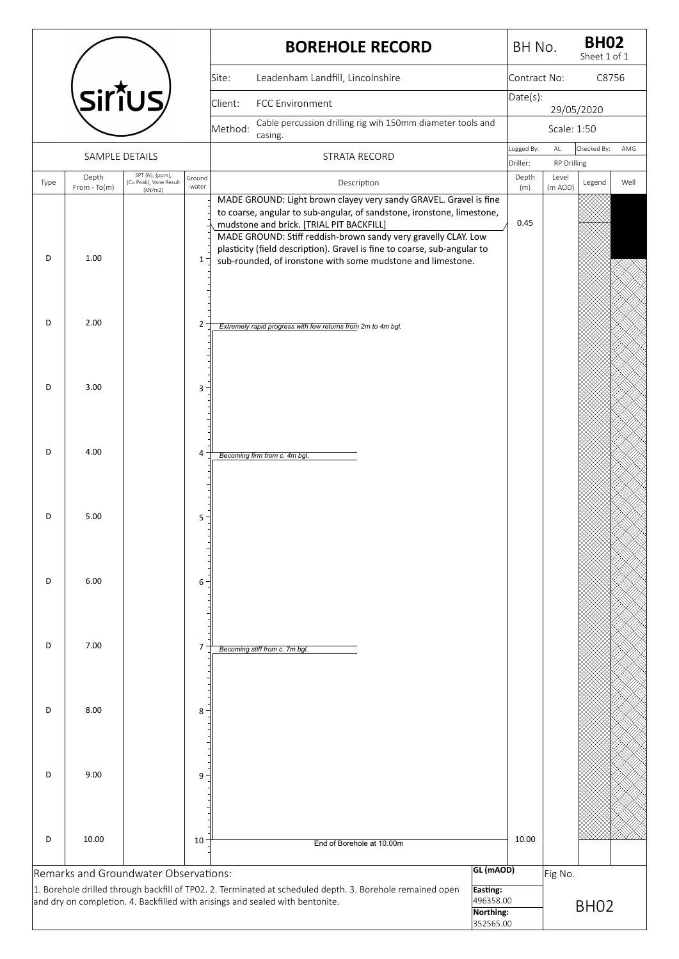|      |                        |                                           |                       | <b>BOREHOLE RECORD</b>                                                                                                                                                                                                                                                                                                                                                                               |                                    | BH No.            |                             | <b>BH02</b><br>Sheet 1 of 1 |      |
|------|------------------------|-------------------------------------------|-----------------------|------------------------------------------------------------------------------------------------------------------------------------------------------------------------------------------------------------------------------------------------------------------------------------------------------------------------------------------------------------------------------------------------------|------------------------------------|-------------------|-----------------------------|-----------------------------|------|
|      |                        |                                           |                       | Leadenham Landfill, Lincolnshire<br>Site:                                                                                                                                                                                                                                                                                                                                                            |                                    | Contract No:      |                             | C8756                       |      |
|      |                        | Siṙ̃ius⁄                                  |                       | Client:<br>FCC Environment                                                                                                                                                                                                                                                                                                                                                                           |                                    | Date(s):          | 29/05/2020                  |                             |      |
|      |                        |                                           |                       | Cable percussion drilling rig wih 150mm diameter tools and<br>Method:                                                                                                                                                                                                                                                                                                                                |                                    |                   | Scale: 1:50                 |                             |      |
|      |                        | SAMPLE DETAILS                            |                       | casing.<br>STRATA RECORD                                                                                                                                                                                                                                                                                                                                                                             |                                    | Logged By:        | $\mathsf{AL}$               | Checked By:                 | AMG  |
| Type | Depth                  | SPT (N), {ppm},<br>(Cu Peak), Vane Result | Ground                | Description                                                                                                                                                                                                                                                                                                                                                                                          |                                    | Driller:<br>Depth | <b>RP Drilling</b><br>Level | Legend                      | Well |
| D    | $From - To(m)$<br>1.00 | (kN/m2)                                   | -water<br>$1^{\circ}$ | MADE GROUND: Light brown clayey very sandy GRAVEL. Gravel is fine<br>to coarse, angular to sub-angular, of sandstone, ironstone, limestone,<br>mudstone and brick. [TRIAL PIT BACKFILL]<br>MADE GROUND: Stiff reddish-brown sandy very gravelly CLAY. Low<br>plasticity (field description). Gravel is fine to coarse, sub-angular to<br>sub-rounded, of ironstone with some mudstone and limestone. |                                    | (m)<br>0.45       | (m AOD)                     |                             |      |
| D    | 2.00                   |                                           | $\overline{2}$        | Extremely rapid progress with few returns from 2m to 4m bgl.                                                                                                                                                                                                                                                                                                                                         |                                    |                   |                             |                             |      |
| D    | 3.00                   |                                           | 3                     |                                                                                                                                                                                                                                                                                                                                                                                                      |                                    |                   |                             |                             |      |
| D    | 4.00                   |                                           | 4                     | Becoming firm from c. 4m bgl.                                                                                                                                                                                                                                                                                                                                                                        |                                    |                   |                             |                             |      |
| D    | 5.00                   |                                           | 5                     |                                                                                                                                                                                                                                                                                                                                                                                                      |                                    |                   |                             |                             |      |
| D    | 6.00                   |                                           | 6                     |                                                                                                                                                                                                                                                                                                                                                                                                      |                                    |                   |                             |                             |      |
| D    | 7.00                   |                                           | 7                     | Becoming stiff from c. 7m bgl.                                                                                                                                                                                                                                                                                                                                                                       |                                    |                   |                             |                             |      |
| D    | 8.00                   |                                           | 8                     |                                                                                                                                                                                                                                                                                                                                                                                                      |                                    |                   |                             |                             |      |
| D    | 9.00                   |                                           | 9                     |                                                                                                                                                                                                                                                                                                                                                                                                      |                                    |                   |                             |                             |      |
| D    | 10.00                  |                                           | 10                    | End of Borehole at 10.00m                                                                                                                                                                                                                                                                                                                                                                            |                                    | 10.00             |                             |                             |      |
|      |                        | Remarks and Groundwater Observations:     |                       | 1. Borehole drilled through backfill of TP02. 2. Terminated at scheduled depth. 3. Borehole remained open<br>and dry on completion. 4. Backfilled with arisings and sealed with bentonite.                                                                                                                                                                                                           | GL (mAOD)<br>Easting:<br>496358.00 |                   | Fig No.                     | BH <sub>02</sub>            |      |
|      |                        |                                           |                       |                                                                                                                                                                                                                                                                                                                                                                                                      | Northing:<br>352565.00             |                   |                             |                             |      |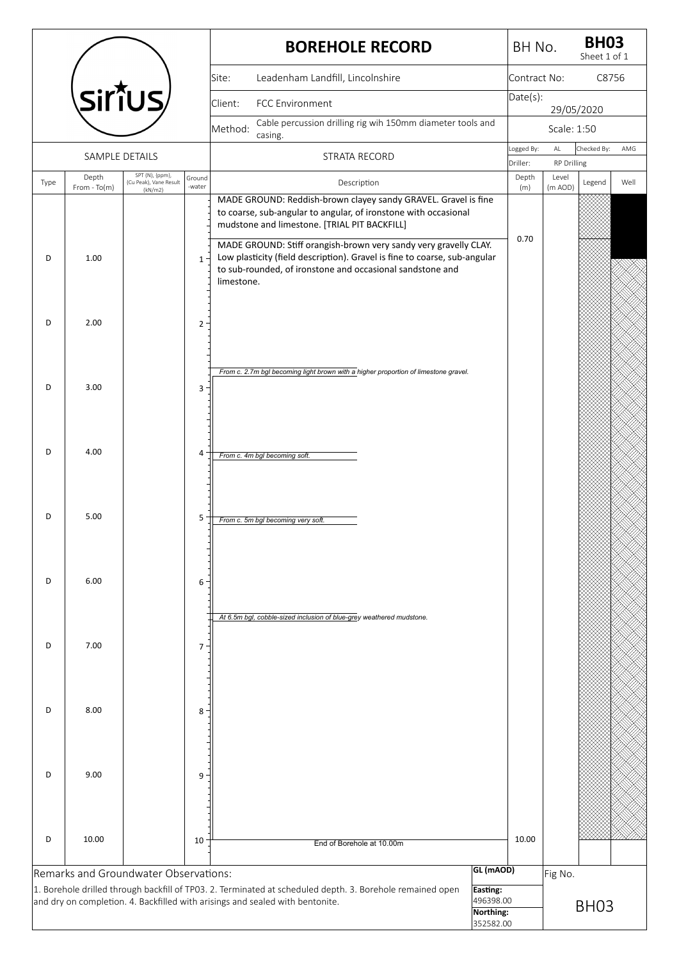|      |                |                                       |        | <b>BOREHOLE RECORD</b>                                                                                                                                                                                                                                     | BH No.            |                             | <b>BH03</b><br>Sheet 1 of 1 |       |
|------|----------------|---------------------------------------|--------|------------------------------------------------------------------------------------------------------------------------------------------------------------------------------------------------------------------------------------------------------------|-------------------|-----------------------------|-----------------------------|-------|
|      |                |                                       |        | Leadenham Landfill, Lincolnshire<br>Site:                                                                                                                                                                                                                  | Contract No:      |                             |                             | C8756 |
|      |                | <b>SirॉUS</b>                         |        | <b>FCC Environment</b><br>Client:                                                                                                                                                                                                                          | Date(s):          | 29/05/2020                  |                             |       |
|      |                |                                       |        | Cable percussion drilling rig wih 150mm diameter tools and<br>Method:                                                                                                                                                                                      |                   | Scale: 1:50                 |                             |       |
|      | SAMPLE DETAILS |                                       |        | casing.<br>STRATA RECORD                                                                                                                                                                                                                                   | Logged By:        | AL                          | Checked By:                 | AMG   |
|      | Depth          | SPT (N), {ppm},                       | Ground |                                                                                                                                                                                                                                                            | Driller:<br>Depth | <b>RP Drilling</b><br>Level |                             |       |
| Type | $From - To(m)$ | (Cu Peak), Vane Result<br>(kN/m2)     | -water | Description<br>MADE GROUND: Reddish-brown clayey sandy GRAVEL. Gravel is fine                                                                                                                                                                              | (m)               | (m AOD)                     | Legend                      | Well  |
|      |                |                                       |        | to coarse, sub-angular to angular, of ironstone with occasional<br>mudstone and limestone. [TRIAL PIT BACKFILL]                                                                                                                                            |                   |                             |                             |       |
| D    | 1.00           |                                       | $1 -$  | MADE GROUND: Stiff orangish-brown very sandy very gravelly CLAY.<br>Low plasticity (field description). Gravel is fine to coarse, sub-angular<br>to sub-rounded, of ironstone and occasional sandstone and<br>limestone.                                   | 0.70              |                             |                             |       |
| D    | 2.00           |                                       | $2 -$  |                                                                                                                                                                                                                                                            |                   |                             |                             |       |
| D    | 3.00           |                                       | 3      | From c. 2.7m bgl becoming light brown with a higher proportion of limestone gravel.                                                                                                                                                                        |                   |                             |                             |       |
| D    | 4.00           |                                       | 4      | From c. 4m bgl becoming soft.                                                                                                                                                                                                                              |                   |                             |                             |       |
| D    | 5.00           |                                       | 5      | From c. 5m bgl becoming very soft.                                                                                                                                                                                                                         |                   |                             |                             |       |
| D    | 6.00           |                                       | 6      | At 6.5m bgl, cobble-sized inclusion of blue-grey weathered mudstone.                                                                                                                                                                                       |                   |                             |                             |       |
| D    | 7.00           |                                       | $7 -$  |                                                                                                                                                                                                                                                            |                   |                             |                             |       |
| D    | 8.00           |                                       | 8      |                                                                                                                                                                                                                                                            |                   |                             |                             |       |
| D    | 9.00           |                                       | 9      |                                                                                                                                                                                                                                                            |                   |                             |                             |       |
| D    | 10.00          |                                       | 10     | End of Borehole at 10.00m                                                                                                                                                                                                                                  | 10.00             |                             |                             |       |
|      |                | Remarks and Groundwater Observations: |        | GL (mAOD)<br>1. Borehole drilled through backfill of TP03. 2. Terminated at scheduled depth. 3. Borehole remained open<br>Easting:<br>496398.00<br>and dry on completion. 4. Backfilled with arisings and sealed with bentonite.<br>Northing:<br>352582.00 |                   | Fig No.                     | BH <sub>03</sub>            |       |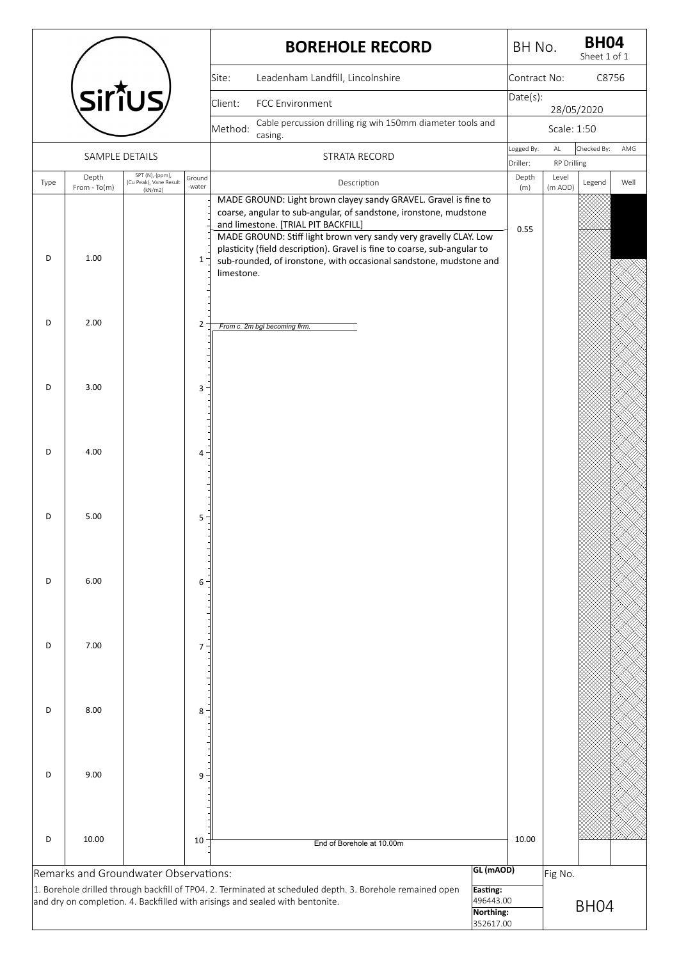|      |                |                                                                                                                        |                |            |                                     |                           | <b>BOREHOLE RECORD</b>                                                                                                                                                                                              |                                                              | BH No.            |                             | <b>BH04</b><br>Sheet 1 of 1 |       |
|------|----------------|------------------------------------------------------------------------------------------------------------------------|----------------|------------|-------------------------------------|---------------------------|---------------------------------------------------------------------------------------------------------------------------------------------------------------------------------------------------------------------|--------------------------------------------------------------|-------------------|-----------------------------|-----------------------------|-------|
|      |                |                                                                                                                        |                | Site:      | Leadenham Landfill, Lincolnshire    |                           |                                                                                                                                                                                                                     |                                                              | Contract No:      |                             |                             | C8756 |
|      |                | sirt̃us⁄                                                                                                               |                | Client:    | FCC Environment                     |                           |                                                                                                                                                                                                                     |                                                              | Date(s):          | 28/05/2020                  |                             |       |
|      |                |                                                                                                                        |                | Method:    |                                     |                           | Cable percussion drilling rig wih 150mm diameter tools and                                                                                                                                                          |                                                              |                   | Scale: 1:50                 |                             |       |
|      |                | SAMPLE DETAILS                                                                                                         |                |            | casing.                             | <b>STRATA RECORD</b>      |                                                                                                                                                                                                                     |                                                              | Logged By:        | $\mathsf{AL}$               | Checked By:                 | AMG   |
| Type | Depth          | SPT (N), {ppm},<br>(Cu Peak), Vane Result                                                                              | Ground         |            |                                     | Description               |                                                                                                                                                                                                                     |                                                              | Driller:<br>Depth | <b>RP Drilling</b><br>Level | Legend                      | Well  |
|      | $From - To(m)$ | (kN/m2)                                                                                                                | -water         |            | and limestone. [TRIAL PIT BACKFILL] |                           | MADE GROUND: Light brown clayey sandy GRAVEL. Gravel is fine to<br>coarse, angular to sub-angular, of sandstone, ironstone, mudstone                                                                                |                                                              | (m)               | (m AOD)                     |                             |       |
| D    | 1.00           |                                                                                                                        | $1 -$          | limestone. |                                     |                           | MADE GROUND: Stiff light brown very sandy very gravelly CLAY. Low<br>plasticity (field description). Gravel is fine to coarse, sub-angular to<br>sub-rounded, of ironstone, with occasional sandstone, mudstone and |                                                              | 0.55              |                             |                             |       |
| D    | 2.00           |                                                                                                                        | $\overline{2}$ |            | From c. 2m bgl becoming firm.       |                           |                                                                                                                                                                                                                     |                                                              |                   |                             |                             |       |
| D    | 3.00           |                                                                                                                        | 3              |            |                                     |                           |                                                                                                                                                                                                                     |                                                              |                   |                             |                             |       |
| D    | 4.00           |                                                                                                                        | $\overline{4}$ |            |                                     |                           |                                                                                                                                                                                                                     |                                                              |                   |                             |                             |       |
| D    | 5.00           |                                                                                                                        | 5              |            |                                     |                           |                                                                                                                                                                                                                     |                                                              |                   |                             |                             |       |
| D    | 6.00           |                                                                                                                        | 6              |            |                                     |                           |                                                                                                                                                                                                                     |                                                              |                   |                             |                             |       |
| D    | 7.00           |                                                                                                                        | $\overline{7}$ |            |                                     |                           |                                                                                                                                                                                                                     |                                                              |                   |                             |                             |       |
| D    | 8.00           |                                                                                                                        | 8              |            |                                     |                           |                                                                                                                                                                                                                     |                                                              |                   |                             |                             |       |
| D    | 9.00           |                                                                                                                        | 9              |            |                                     |                           |                                                                                                                                                                                                                     |                                                              |                   |                             |                             |       |
| D    | 10.00          |                                                                                                                        | 10             |            |                                     | End of Borehole at 10.00m |                                                                                                                                                                                                                     |                                                              | 10.00             |                             |                             |       |
|      |                | Remarks and Groundwater Observations:<br>and dry on completion. 4. Backfilled with arisings and sealed with bentonite. |                |            |                                     |                           | 1. Borehole drilled through backfill of TP04. 2. Terminated at scheduled depth. 3. Borehole remained open                                                                                                           | GL (mAOD)<br>Easting:<br>496443.00<br>Northing:<br>352617.00 |                   | Fig No.                     | BH <sub>04</sub>            |       |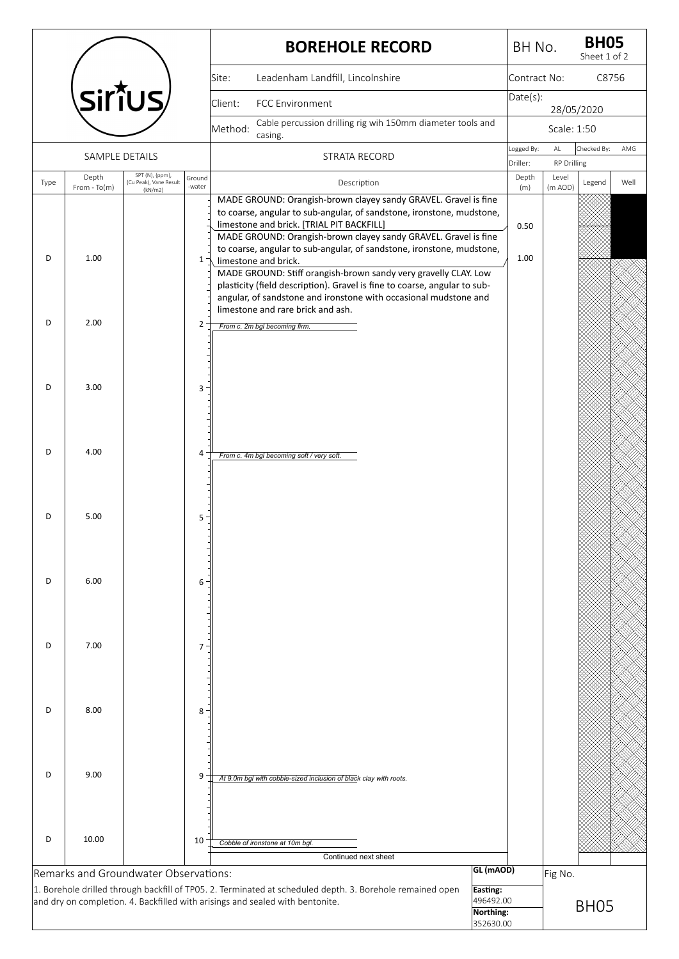|      |                |                                           |                | <b>BOREHOLE RECORD</b>                                                                                                                                                                                                                                                                                                                                 | BH No.            |                      | <b>BH05</b><br>Sheet 1 of 2 |      |
|------|----------------|-------------------------------------------|----------------|--------------------------------------------------------------------------------------------------------------------------------------------------------------------------------------------------------------------------------------------------------------------------------------------------------------------------------------------------------|-------------------|----------------------|-----------------------------|------|
|      |                |                                           |                | Leadenham Landfill, Lincolnshire<br>Site:                                                                                                                                                                                                                                                                                                              | Contract No:      |                      | C8756                       |      |
|      |                | <b>SirïUS</b>                             |                | <b>FCC Environment</b><br>Client:                                                                                                                                                                                                                                                                                                                      | Date(s):          | 28/05/2020           |                             |      |
|      |                |                                           |                | Cable percussion drilling rig wih 150mm diameter tools and<br>Method:                                                                                                                                                                                                                                                                                  |                   | Scale: 1:50          |                             |      |
|      | SAMPLE DETAILS |                                           |                | casing.<br>STRATA RECORD                                                                                                                                                                                                                                                                                                                               | Logged By:        | AL                   | Checked By:                 | AMG  |
|      | Depth          | SPT (N), {ppm},<br>(Cu Peak), Vane Result | Ground         | Description                                                                                                                                                                                                                                                                                                                                            | Driller:<br>Depth | RP Drilling<br>Level |                             | Well |
| Type | $From - To(m)$ | (kN/m2)                                   | -water         | MADE GROUND: Orangish-brown clayey sandy GRAVEL. Gravel is fine<br>to coarse, angular to sub-angular, of sandstone, ironstone, mudstone,<br>limestone and brick. [TRIAL PIT BACKFILL]<br>MADE GROUND: Orangish-brown clayey sandy GRAVEL. Gravel is fine                                                                                               | (m)<br>0.50       | (m AOD)              | Legend                      |      |
| D    | 1.00           |                                           | $1 -$          | to coarse, angular to sub-angular, of sandstone, ironstone, mudstone,<br>limestone and brick.<br>MADE GROUND: Stiff orangish-brown sandy very gravelly CLAY. Low<br>plasticity (field description). Gravel is fine to coarse, angular to sub-<br>angular, of sandstone and ironstone with occasional mudstone and<br>limestone and rare brick and ash. | 1.00              |                      |                             |      |
| D    | 2.00           |                                           | $\overline{2}$ | From c. 2m bgl becoming firm.                                                                                                                                                                                                                                                                                                                          |                   |                      |                             |      |
| D    | 3.00           |                                           | 3              |                                                                                                                                                                                                                                                                                                                                                        |                   |                      |                             |      |
| D    | 4.00           |                                           | 4              | From c. 4m bgl becoming soft / very soft.                                                                                                                                                                                                                                                                                                              |                   |                      |                             |      |
| D    | 5.00           |                                           | 5              |                                                                                                                                                                                                                                                                                                                                                        |                   |                      |                             |      |
| D    | 6.00           |                                           | 6              |                                                                                                                                                                                                                                                                                                                                                        |                   |                      |                             |      |
| D    | 7.00           |                                           | 7 <sup>1</sup> |                                                                                                                                                                                                                                                                                                                                                        |                   |                      |                             |      |
| D    | 8.00           |                                           | 8              |                                                                                                                                                                                                                                                                                                                                                        |                   |                      |                             |      |
| D    | 9.00           |                                           | 9              | At 9.0m bgl with cobble-sized inclusion of black clay with roots.                                                                                                                                                                                                                                                                                      |                   |                      |                             |      |
| D    | 10.00          |                                           | 10             | Cobble of ironstone at 10m bgl.<br>Continued next sheet                                                                                                                                                                                                                                                                                                |                   |                      |                             |      |
|      |                | Remarks and Groundwater Observations:     |                | GL (mAOD)<br>1. Borehole drilled through backfill of TP05. 2. Terminated at scheduled depth. 3. Borehole remained open<br>Easting:<br>496492.00<br>and dry on completion. 4. Backfilled with arisings and sealed with bentonite.<br>Northing:<br>352630.00                                                                                             |                   | Fig No.              | BH <sub>05</sub>            |      |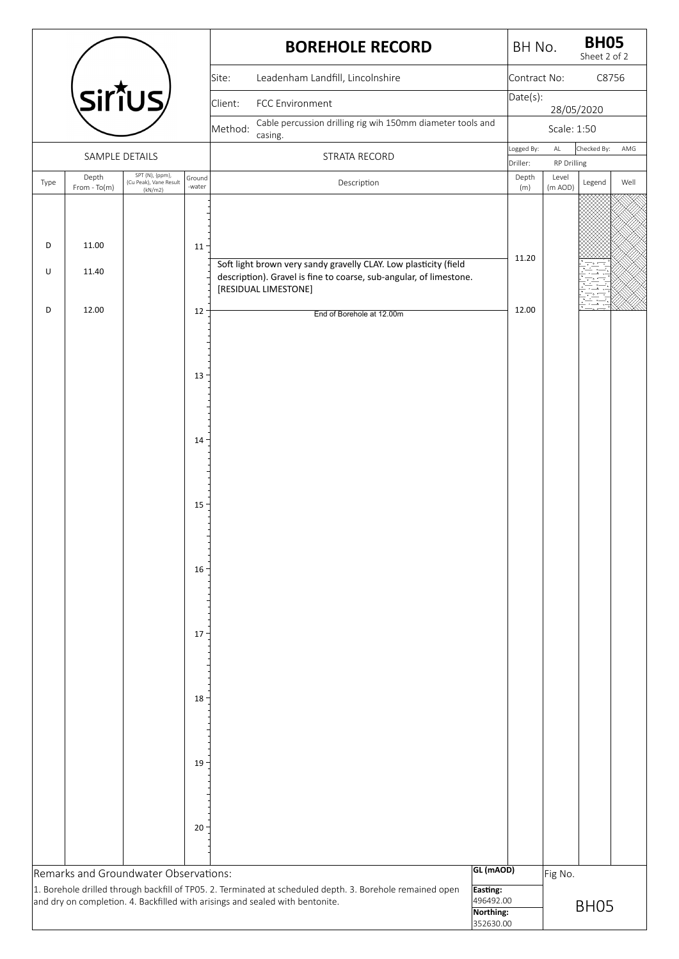|      |                         |                                       |        | <b>BOREHOLE RECORD</b>                                                                                                                                                                     |                        | BH No.            |                             | <b>BH05</b><br>Sheet 2 of 2 |      |
|------|-------------------------|---------------------------------------|--------|--------------------------------------------------------------------------------------------------------------------------------------------------------------------------------------------|------------------------|-------------------|-----------------------------|-----------------------------|------|
|      |                         |                                       |        | Leadenham Landfill, Lincolnshire<br>Site:                                                                                                                                                  |                        | Contract No:      |                             | C8756                       |      |
|      |                         | Sirîus/                               |        | Client:<br>FCC Environment                                                                                                                                                                 |                        | Date(s):          |                             |                             |      |
|      |                         |                                       |        | Cable percussion drilling rig wih 150mm diameter tools and<br>Method:                                                                                                                      |                        |                   | Scale: 1:50                 | 28/05/2020                  |      |
|      |                         |                                       |        | casing.                                                                                                                                                                                    |                        | Logged By:        | $\mathsf{AL}$               | Checked By:                 | AMG  |
|      | SAMPLE DETAILS<br>Depth | SPT (N), {ppm},                       | Ground | STRATA RECORD                                                                                                                                                                              |                        | Driller:<br>Depth | <b>RP Drilling</b><br>Level |                             |      |
| Type | From - To(m)            | (Cu Peak), Vane Result<br>(kN/m2)     | -water | Description                                                                                                                                                                                |                        | (m)               | (m AOD)                     | Legend                      | Well |
|      |                         |                                       |        |                                                                                                                                                                                            |                        |                   |                             |                             |      |
| D    | 11.00                   |                                       | 11     |                                                                                                                                                                                            |                        |                   |                             |                             |      |
| U    | 11.40                   |                                       |        | Soft light brown very sandy gravelly CLAY. Low plasticity (field                                                                                                                           |                        | 11.20             |                             |                             |      |
|      |                         |                                       |        | description). Gravel is fine to coarse, sub-angular, of limestone.<br>[RESIDUAL LIMESTONE]                                                                                                 |                        |                   |                             |                             |      |
| D    | 12.00                   |                                       | 12     | End of Borehole at 12.00m                                                                                                                                                                  |                        | 12.00             |                             |                             |      |
|      |                         |                                       |        |                                                                                                                                                                                            |                        |                   |                             |                             |      |
|      |                         |                                       |        |                                                                                                                                                                                            |                        |                   |                             |                             |      |
|      |                         |                                       | 13     |                                                                                                                                                                                            |                        |                   |                             |                             |      |
|      |                         |                                       |        |                                                                                                                                                                                            |                        |                   |                             |                             |      |
|      |                         |                                       |        |                                                                                                                                                                                            |                        |                   |                             |                             |      |
|      |                         |                                       | $14 -$ |                                                                                                                                                                                            |                        |                   |                             |                             |      |
|      |                         |                                       |        |                                                                                                                                                                                            |                        |                   |                             |                             |      |
|      |                         |                                       | 15     |                                                                                                                                                                                            |                        |                   |                             |                             |      |
|      |                         |                                       |        |                                                                                                                                                                                            |                        |                   |                             |                             |      |
|      |                         |                                       |        |                                                                                                                                                                                            |                        |                   |                             |                             |      |
|      |                         |                                       | $16 -$ |                                                                                                                                                                                            |                        |                   |                             |                             |      |
|      |                         |                                       |        |                                                                                                                                                                                            |                        |                   |                             |                             |      |
|      |                         |                                       |        |                                                                                                                                                                                            |                        |                   |                             |                             |      |
|      |                         |                                       | 17     |                                                                                                                                                                                            |                        |                   |                             |                             |      |
|      |                         |                                       |        |                                                                                                                                                                                            |                        |                   |                             |                             |      |
|      |                         |                                       |        |                                                                                                                                                                                            |                        |                   |                             |                             |      |
|      |                         |                                       | $18 -$ |                                                                                                                                                                                            |                        |                   |                             |                             |      |
|      |                         |                                       |        |                                                                                                                                                                                            |                        |                   |                             |                             |      |
|      |                         |                                       | 19     |                                                                                                                                                                                            |                        |                   |                             |                             |      |
|      |                         |                                       |        |                                                                                                                                                                                            |                        |                   |                             |                             |      |
|      |                         |                                       |        |                                                                                                                                                                                            |                        |                   |                             |                             |      |
|      |                         |                                       | 20     |                                                                                                                                                                                            |                        |                   |                             |                             |      |
|      |                         |                                       |        |                                                                                                                                                                                            |                        |                   |                             |                             |      |
|      |                         | Remarks and Groundwater Observations: |        |                                                                                                                                                                                            | GL (mAOD)              |                   | Fig No.                     |                             |      |
|      |                         |                                       |        | 1. Borehole drilled through backfill of TP05. 2. Terminated at scheduled depth. 3. Borehole remained open<br>and dry on completion. 4. Backfilled with arisings and sealed with bentonite. | Easting:<br>496492.00  |                   |                             |                             |      |
|      |                         |                                       |        |                                                                                                                                                                                            | Northing:<br>352630.00 |                   |                             | BH <sub>05</sub>            |      |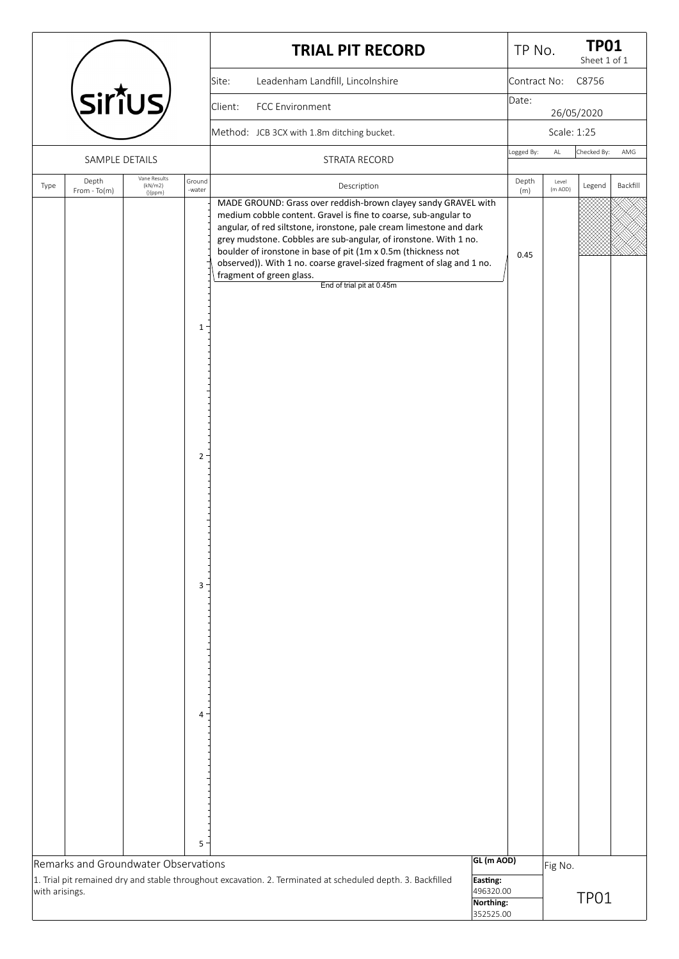|                |                                      |                         |                                        | <b>TRIAL PIT RECORD</b>                                                                                                                                                                                                                                                                                                                                                                                                                                                                        |                                     | TP No.       |               | <b>TP01</b><br>Sheet 1 of 1 |          |
|----------------|--------------------------------------|-------------------------|----------------------------------------|------------------------------------------------------------------------------------------------------------------------------------------------------------------------------------------------------------------------------------------------------------------------------------------------------------------------------------------------------------------------------------------------------------------------------------------------------------------------------------------------|-------------------------------------|--------------|---------------|-----------------------------|----------|
|                |                                      |                         |                                        | Leadenham Landfill, Lincolnshire<br>Site:                                                                                                                                                                                                                                                                                                                                                                                                                                                      |                                     | Contract No: |               | C8756                       |          |
|                | <b>Sirîus</b>                        |                         |                                        | FCC Environment<br>Client:                                                                                                                                                                                                                                                                                                                                                                                                                                                                     |                                     | Date:        |               | 26/05/2020                  |          |
|                |                                      |                         |                                        | Method: JCB 3CX with 1.8m ditching bucket.                                                                                                                                                                                                                                                                                                                                                                                                                                                     |                                     |              | Scale: 1:25   |                             |          |
|                | SAMPLE DETAILS                       |                         |                                        | STRATA RECORD                                                                                                                                                                                                                                                                                                                                                                                                                                                                                  |                                     | Logged By:   | $\mathsf{AL}$ | Checked By:                 | AMG      |
| Type           | Depth                                | Vane Results<br>(kN/m2) | Ground                                 |                                                                                                                                                                                                                                                                                                                                                                                                                                                                                                |                                     | Depth        | Level         |                             | Backfill |
|                | $From - To(m)$                       | ${[ ppm]}$              | -water<br>1<br>2 <sup>1</sup><br>$3 -$ | Description<br>MADE GROUND: Grass over reddish-brown clayey sandy GRAVEL with<br>medium cobble content. Gravel is fine to coarse, sub-angular to<br>angular, of red siltstone, ironstone, pale cream limestone and dark<br>grey mudstone. Cobbles are sub-angular, of ironstone. With 1 no.<br>boulder of ironstone in base of pit (1m x 0.5m (thickness not<br>observed)). With 1 no. coarse gravel-sized fragment of slag and 1 no.<br>fragment of green glass.<br>End of trial pit at 0.45m |                                     | (m)<br>0.45  | (m AOD)       | Legend                      |          |
| with arisings. | Remarks and Groundwater Observations |                         | 4 <sup>1</sup><br>5                    | 1. Trial pit remained dry and stable throughout excavation. 2. Terminated at scheduled depth. 3. Backfilled                                                                                                                                                                                                                                                                                                                                                                                    | GL (m AOD)<br>Easting:<br>496320.00 |              | Fig No.       |                             |          |
|                |                                      |                         |                                        |                                                                                                                                                                                                                                                                                                                                                                                                                                                                                                | Northing:<br>352525.00              |              |               | TP01                        |          |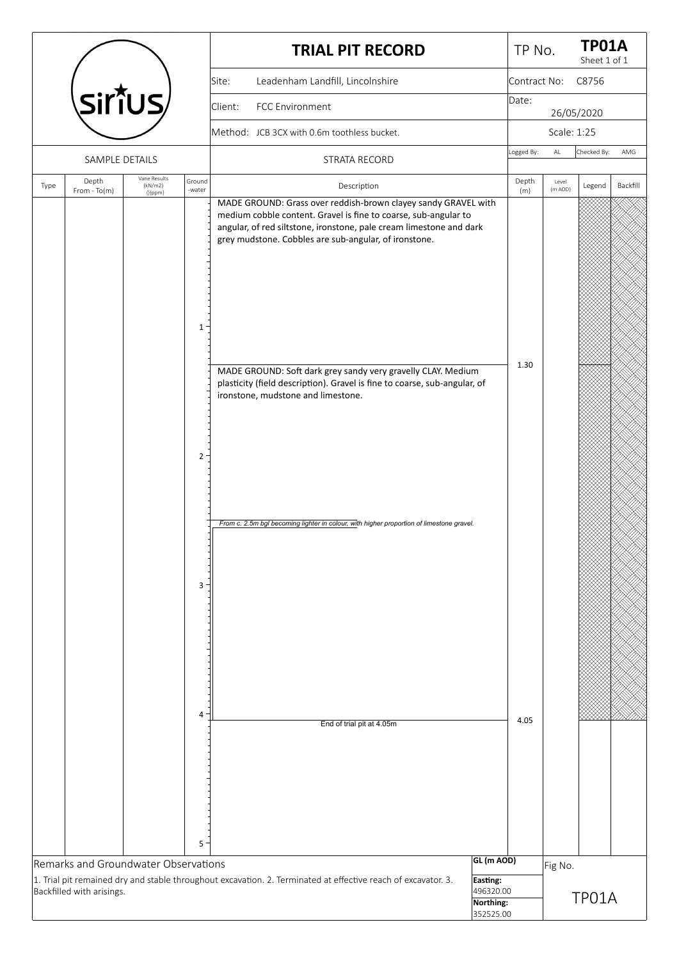|      |                                                                   |                         |                                            | <b>TRIAL PIT RECORD</b>                                                                                                                                                                                                                                                                                                                                                                                                                                                                                                                          | TP No.       |               | <b>TP01A</b><br>Sheet 1 of 1 |          |
|------|-------------------------------------------------------------------|-------------------------|--------------------------------------------|--------------------------------------------------------------------------------------------------------------------------------------------------------------------------------------------------------------------------------------------------------------------------------------------------------------------------------------------------------------------------------------------------------------------------------------------------------------------------------------------------------------------------------------------------|--------------|---------------|------------------------------|----------|
|      |                                                                   |                         |                                            | Leadenham Landfill, Lincolnshire<br>Site:                                                                                                                                                                                                                                                                                                                                                                                                                                                                                                        | Contract No: |               | C8756                        |          |
|      | sirt̃us⁄                                                          |                         |                                            | FCC Environment<br>Client:                                                                                                                                                                                                                                                                                                                                                                                                                                                                                                                       | Date:        |               | 26/05/2020                   |          |
|      |                                                                   |                         |                                            | Method: JCB 3CX with 0.6m toothless bucket.                                                                                                                                                                                                                                                                                                                                                                                                                                                                                                      |              | Scale: 1:25   |                              |          |
|      | SAMPLE DETAILS                                                    |                         |                                            | STRATA RECORD                                                                                                                                                                                                                                                                                                                                                                                                                                                                                                                                    | Logged By:   | $\mathsf{AL}$ | Checked By:                  | AMG      |
| Type | Depth                                                             | Vane Results<br>(kN/m2) | Ground                                     | Description                                                                                                                                                                                                                                                                                                                                                                                                                                                                                                                                      | Depth        | Level         | Legend                       | Backfill |
|      | $From - To(m)$                                                    | {}{ppm}                 | -water<br>$\mathbf{1}$<br>$2^{\circ}$<br>3 | MADE GROUND: Grass over reddish-brown clayey sandy GRAVEL with<br>medium cobble content. Gravel is fine to coarse, sub-angular to<br>angular, of red siltstone, ironstone, pale cream limestone and dark<br>grey mudstone. Cobbles are sub-angular, of ironstone.<br>MADE GROUND: Soft dark grey sandy very gravelly CLAY. Medium<br>plasticity (field description). Gravel is fine to coarse, sub-angular, of<br>ironstone, mudstone and limestone.<br>From c. 2.5m bgl becoming lighter in colour, with higher proportion of limestone gravel. | (m)<br>1.30  | (m AOD)       |                              |          |
|      |                                                                   |                         | 4                                          | End of trial pit at 4.05m                                                                                                                                                                                                                                                                                                                                                                                                                                                                                                                        | 4.05         |               |                              |          |
|      |                                                                   |                         | 5                                          |                                                                                                                                                                                                                                                                                                                                                                                                                                                                                                                                                  |              |               |                              |          |
|      | Remarks and Groundwater Observations<br>Backfilled with arisings. |                         |                                            | GL (m AOD)<br>1. Trial pit remained dry and stable throughout excavation. 2. Terminated at effective reach of excavator. 3.<br>Easting:<br>496320.00<br>Northing:<br>352525.00                                                                                                                                                                                                                                                                                                                                                                   |              | Fig No.       | TP01A                        |          |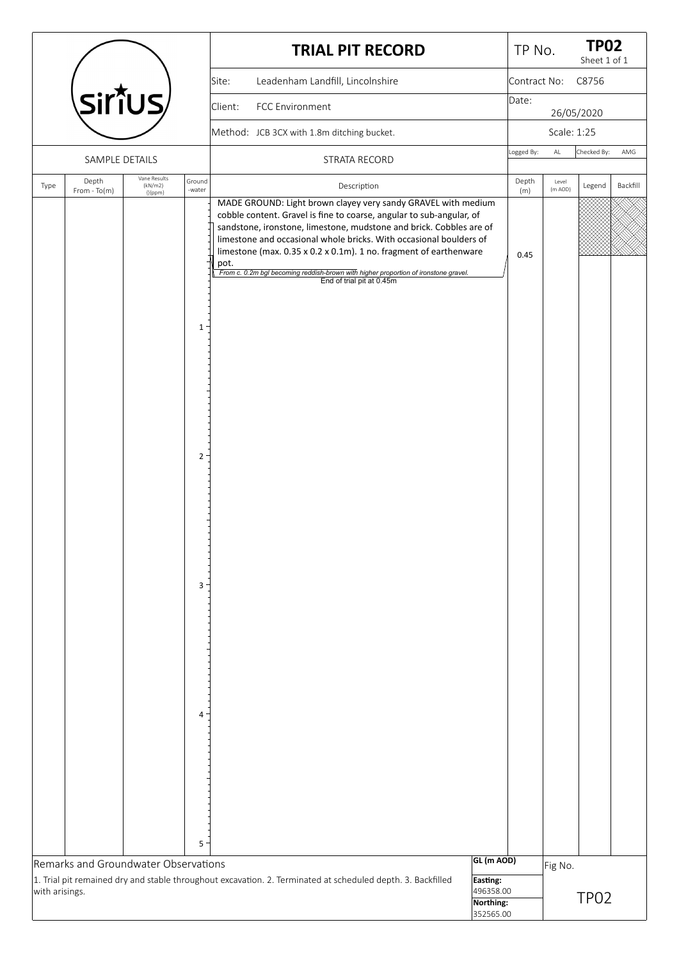|                |                                      |                         |                                                                                 | <b>TRIAL PIT RECORD</b>                                                                                                                                                                                                                                                                                                                                                                                                                                                             | TP No.       |             | <b>TP02</b><br>Sheet 1 of 1 |          |
|----------------|--------------------------------------|-------------------------|---------------------------------------------------------------------------------|-------------------------------------------------------------------------------------------------------------------------------------------------------------------------------------------------------------------------------------------------------------------------------------------------------------------------------------------------------------------------------------------------------------------------------------------------------------------------------------|--------------|-------------|-----------------------------|----------|
|                |                                      |                         |                                                                                 | Leadenham Landfill, Lincolnshire<br>Site:                                                                                                                                                                                                                                                                                                                                                                                                                                           | Contract No: |             | C8756                       |          |
|                | Sirîus/                              |                         |                                                                                 | FCC Environment<br>Client:                                                                                                                                                                                                                                                                                                                                                                                                                                                          | Date:        |             | 26/05/2020                  |          |
|                |                                      |                         |                                                                                 | Method: JCB 3CX with 1.8m ditching bucket.                                                                                                                                                                                                                                                                                                                                                                                                                                          |              | Scale: 1:25 |                             |          |
|                | SAMPLE DETAILS                       |                         |                                                                                 | STRATA RECORD                                                                                                                                                                                                                                                                                                                                                                                                                                                                       | Logged By:   | AL          | Checked By:                 | AMG      |
| Type           | Depth                                | Vane Results<br>(kN/m2) | Ground                                                                          | Description                                                                                                                                                                                                                                                                                                                                                                                                                                                                         | Depth        | Level       |                             | Backfill |
|                | $From - To(m)$                       | ${$ { ${$ Ippm}         | -water<br>$\mathbf{1}$<br>$\overline{2}$<br>3 <sup>1</sup><br>$\mathbf{4}$<br>5 | MADE GROUND: Light brown clayey very sandy GRAVEL with medium<br>cobble content. Gravel is fine to coarse, angular to sub-angular, of<br>sandstone, ironstone, limestone, mudstone and brick. Cobbles are of<br>limestone and occasional whole bricks. With occasional boulders of<br>limestone (max. 0.35 x 0.2 x 0.1m). 1 no. fragment of earthenware<br>pot.<br>From c. 0.2m bgl becoming reddish-brown with higher proportion of ironstone gravel.<br>End of trial pit at 0.45m | (m)<br>0.45  | (m AOD)     | Legend                      |          |
|                | Remarks and Groundwater Observations |                         |                                                                                 | GL (m AOD)                                                                                                                                                                                                                                                                                                                                                                                                                                                                          |              | Fig No.     |                             |          |
| with arisings. |                                      |                         |                                                                                 | 1. Trial pit remained dry and stable throughout excavation. 2. Terminated at scheduled depth. 3. Backfilled<br>Easting:<br>496358.00<br>Northing:<br>352565.00                                                                                                                                                                                                                                                                                                                      |              |             | TP <sub>02</sub>            |          |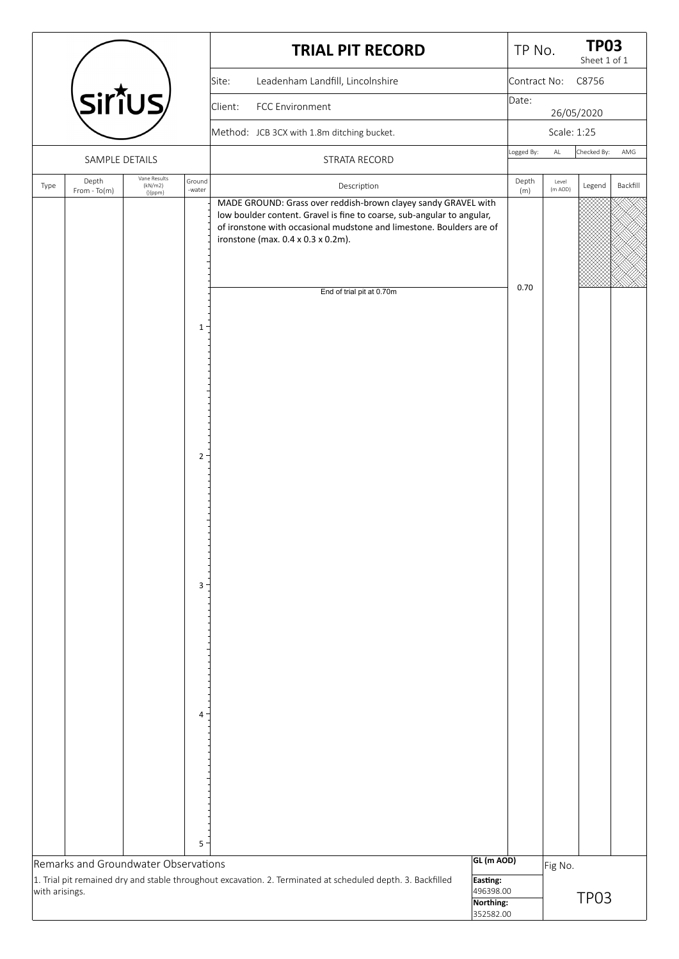|                |                                      |                                            |                     | <b>TRIAL PIT RECORD</b>                                                                                                                                                                                                                                                             | TP No.                              |                  | <b>TP03</b><br>Sheet 1 of 1 |          |
|----------------|--------------------------------------|--------------------------------------------|---------------------|-------------------------------------------------------------------------------------------------------------------------------------------------------------------------------------------------------------------------------------------------------------------------------------|-------------------------------------|------------------|-----------------------------|----------|
|                |                                      |                                            |                     | Leadenham Landfill, Lincolnshire<br>Site:                                                                                                                                                                                                                                           |                                     | Contract No:     | C8756                       |          |
|                | <b>SirîUS</b>                        |                                            |                     | FCC Environment<br>Client:                                                                                                                                                                                                                                                          | Date:                               |                  | 26/05/2020                  |          |
|                |                                      |                                            |                     | Method: JCB 3CX with 1.8m ditching bucket.                                                                                                                                                                                                                                          |                                     | Scale: 1:25      |                             |          |
|                | SAMPLE DETAILS                       |                                            |                     | STRATA RECORD                                                                                                                                                                                                                                                                       | Logged By:                          | $\mathsf{AL}$    | Checked By:                 | AMG      |
| Type           | Depth<br>From - To(m)                | Vane Results<br>(kN/m2)<br>${$ { ${$ Ippm} | Ground<br>-water    | Description                                                                                                                                                                                                                                                                         | Depth<br>(m)                        | Level<br>(m AOD) | Legend                      | Backfill |
|                |                                      |                                            |                     | MADE GROUND: Grass over reddish-brown clayey sandy GRAVEL with<br>low boulder content. Gravel is fine to coarse, sub-angular to angular,<br>of ironstone with occasional mudstone and limestone. Boulders are of<br>ironstone (max. 0.4 x 0.3 x 0.2m).<br>End of trial pit at 0.70m | 0.70                                |                  |                             |          |
|                |                                      |                                            | 1<br>$2^{\circ}$    |                                                                                                                                                                                                                                                                                     |                                     |                  |                             |          |
|                |                                      |                                            | 3                   |                                                                                                                                                                                                                                                                                     |                                     |                  |                             |          |
|                | Remarks and Groundwater Observations |                                            | 4 <sup>1</sup><br>5 |                                                                                                                                                                                                                                                                                     | GL (m AOD)                          | Fig No.          |                             |          |
| with arisings. |                                      |                                            |                     | 1. Trial pit remained dry and stable throughout excavation. 2. Terminated at scheduled depth. 3. Backfilled<br>Easting:                                                                                                                                                             | 496398.00<br>Northing:<br>352582.00 |                  | TP03                        |          |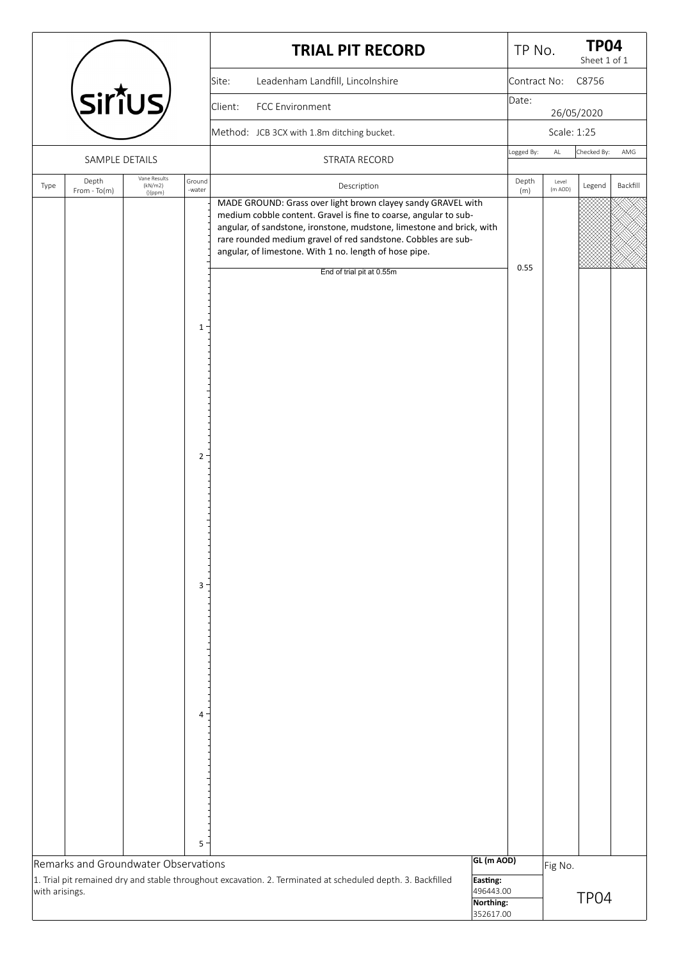|                |                                      |                         |                                                   | <b>TRIAL PIT RECORD</b>                                                                                                                                                                                                                                                                                                                                           |                                     | TP No.       |                  | <b>TP04</b><br>Sheet 1 of 1 |          |
|----------------|--------------------------------------|-------------------------|---------------------------------------------------|-------------------------------------------------------------------------------------------------------------------------------------------------------------------------------------------------------------------------------------------------------------------------------------------------------------------------------------------------------------------|-------------------------------------|--------------|------------------|-----------------------------|----------|
|                |                                      |                         |                                                   | Leadenham Landfill, Lincolnshire<br>Site:                                                                                                                                                                                                                                                                                                                         |                                     | Contract No: |                  | C8756                       |          |
|                | Sirîus/                              |                         |                                                   | FCC Environment<br>Client:                                                                                                                                                                                                                                                                                                                                        |                                     | Date:        |                  | 26/05/2020                  |          |
|                |                                      |                         |                                                   | Method: JCB 3CX with 1.8m ditching bucket.                                                                                                                                                                                                                                                                                                                        |                                     |              | Scale: 1:25      |                             |          |
|                | SAMPLE DETAILS                       |                         |                                                   | STRATA RECORD                                                                                                                                                                                                                                                                                                                                                     |                                     | Logged By:   | $\mathsf{AL}$    | Checked By:                 | AMG      |
| Type           | Depth                                | Vane Results<br>(kN/m2) | Ground                                            | Description                                                                                                                                                                                                                                                                                                                                                       |                                     | Depth        | Level<br>(m AOD) | Legend                      | Backfill |
|                | From - To(m)                         | ${[ ppm]}$              | -water<br>1<br>$2^{\circ}$<br>3<br>4 <sup>1</sup> | MADE GROUND: Grass over light brown clayey sandy GRAVEL with<br>medium cobble content. Gravel is fine to coarse, angular to sub-<br>angular, of sandstone, ironstone, mudstone, limestone and brick, with<br>rare rounded medium gravel of red sandstone. Cobbles are sub-<br>angular, of limestone. With 1 no. length of hose pipe.<br>End of trial pit at 0.55m |                                     | (m)<br>0.55  |                  |                             |          |
|                |                                      |                         |                                                   |                                                                                                                                                                                                                                                                                                                                                                   |                                     |              |                  |                             |          |
|                |                                      |                         |                                                   |                                                                                                                                                                                                                                                                                                                                                                   |                                     |              |                  |                             |          |
|                | Remarks and Groundwater Observations |                         | 5                                                 |                                                                                                                                                                                                                                                                                                                                                                   | GL (m AOD)                          |              |                  |                             |          |
|                |                                      |                         |                                                   | 1. Trial pit remained dry and stable throughout excavation. 2. Terminated at scheduled depth. 3. Backfilled                                                                                                                                                                                                                                                       | Easting:                            |              | Fig No.          |                             |          |
| with arisings. |                                      |                         |                                                   |                                                                                                                                                                                                                                                                                                                                                                   | 496443.00<br>Northing:<br>352617.00 |              |                  | TP <sub>04</sub>            |          |